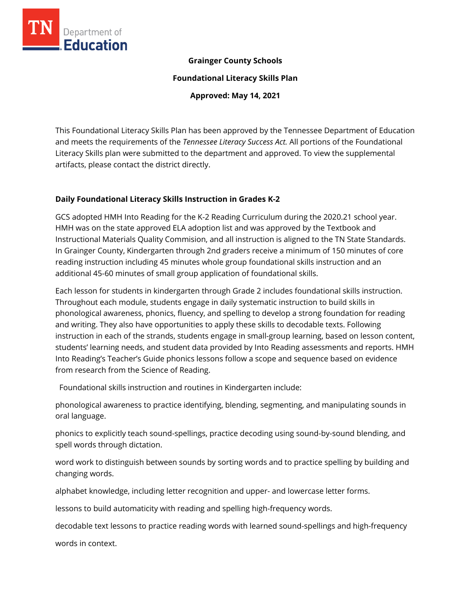

#### **Grainger County Schools**

**Foundational Literacy Skills Plan**

**Approved: May 14, 2021**

This Foundational Literacy Skills Plan has been approved by the Tennessee Department of Education and meets the requirements of the *Tennessee Literacy Success Act.* All portions of the Foundational Literacy Skills plan were submitted to the department and approved. To view the supplemental artifacts, please contact the district directly.

#### **Daily Foundational Literacy Skills Instruction in Grades K-2**

GCS adopted HMH Into Reading for the K-2 Reading Curriculum during the 2020.21 school year. HMH was on the state approved ELA adoption list and was approved by the Textbook and Instructional Materials Quality Commision, and all instruction is aligned to the TN State Standards. In Grainger County, Kindergarten through 2nd graders receive a minimum of 150 minutes of core reading instruction including 45 minutes whole group foundational skills instruction and an additional 45-60 minutes of small group application of foundational skills.

Each lesson for students in kindergarten through Grade 2 includes foundational skills instruction. Throughout each module, students engage in daily systematic instruction to build skills in phonological awareness, phonics, fluency, and spelling to develop a strong foundation for reading and writing. They also have opportunities to apply these skills to decodable texts. Following instruction in each of the strands, students engage in small-group learning, based on lesson content, students' learning needs, and student data provided by Into Reading assessments and reports. HMH Into Reading's Teacher's Guide phonics lessons follow a scope and sequence based on evidence from research from the Science of Reading.

Foundational skills instruction and routines in Kindergarten include:

phonological awareness to practice identifying, blending, segmenting, and manipulating sounds in oral language.

phonics to explicitly teach sound-spellings, practice decoding using sound-by-sound blending, and spell words through dictation.

word work to distinguish between sounds by sorting words and to practice spelling by building and changing words.

alphabet knowledge, including letter recognition and upper- and lowercase letter forms.

lessons to build automaticity with reading and spelling high-frequency words.

decodable text lessons to practice reading words with learned sound-spellings and high-frequency

words in context.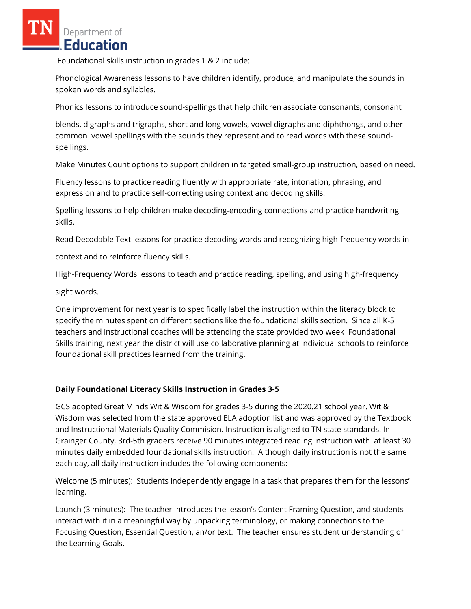Foundational skills instruction in grades 1 & 2 include:

Phonological Awareness lessons to have children identify, produce, and manipulate the sounds in spoken words and syllables.

Phonics lessons to introduce sound-spellings that help children associate consonants, consonant

blends, digraphs and trigraphs, short and long vowels, vowel digraphs and diphthongs, and other common vowel spellings with the sounds they represent and to read words with these soundspellings.

Make Minutes Count options to support children in targeted small-group instruction, based on need.

Fluency lessons to practice reading fluently with appropriate rate, intonation, phrasing, and expression and to practice self-correcting using context and decoding skills.

Spelling lessons to help children make decoding-encoding connections and practice handwriting skills.

Read Decodable Text lessons for practice decoding words and recognizing high-frequency words in

context and to reinforce fluency skills.

High-Frequency Words lessons to teach and practice reading, spelling, and using high-frequency

sight words.

One improvement for next year is to specifically label the instruction within the literacy block to specify the minutes spent on different sections like the foundational skills section. Since all K-5 teachers and instructional coaches will be attending the state provided two week Foundational Skills training, next year the district will use collaborative planning at individual schools to reinforce foundational skill practices learned from the training.

## **Daily Foundational Literacy Skills Instruction in Grades 3-5**

GCS adopted Great Minds Wit & Wisdom for grades 3-5 during the 2020.21 school year. Wit & Wisdom was selected from the state approved ELA adoption list and was approved by the Textbook and Instructional Materials Quality Commision. Instruction is aligned to TN state standards. In Grainger County, 3rd-5th graders receive 90 minutes integrated reading instruction with at least 30 minutes daily embedded foundational skills instruction. Although daily instruction is not the same each day, all daily instruction includes the following components:

Welcome (5 minutes): Students independently engage in a task that prepares them for the lessons' learning.

Launch (3 minutes): The teacher introduces the lesson's Content Framing Question, and students interact with it in a meaningful way by unpacking terminology, or making connections to the Focusing Question, Essential Question, an/or text. The teacher ensures student understanding of the Learning Goals.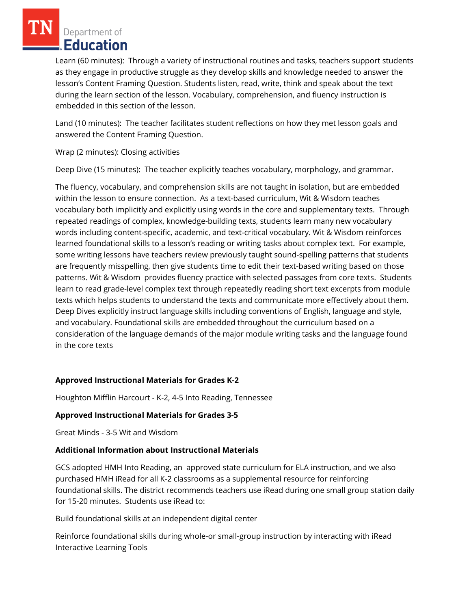Learn (60 minutes): Through a variety of instructional routines and tasks, teachers support students as they engage in productive struggle as they develop skills and knowledge needed to answer the lesson's Content Framing Question. Students listen, read, write, think and speak about the text during the learn section of the lesson. Vocabulary, comprehension, and fluency instruction is embedded in this section of the lesson.

Land (10 minutes): The teacher facilitates student reflections on how they met lesson goals and answered the Content Framing Question.

Wrap (2 minutes): Closing activities

Deep Dive (15 minutes): The teacher explicitly teaches vocabulary, morphology, and grammar.

The fluency, vocabulary, and comprehension skills are not taught in isolation, but are embedded within the lesson to ensure connection. As a text-based curriculum, Wit & Wisdom teaches vocabulary both implicitly and explicitly using words in the core and supplementary texts. Through repeated readings of complex, knowledge-building texts, students learn many new vocabulary words including content-specific, academic, and text-critical vocabulary. Wit & Wisdom reinforces learned foundational skills to a lesson's reading or writing tasks about complex text. For example, some writing lessons have teachers review previously taught sound-spelling patterns that students are frequently misspelling, then give students time to edit their text-based writing based on those patterns. Wit & Wisdom provides fluency practice with selected passages from core texts. Students learn to read grade-level complex text through repeatedly reading short text excerpts from module texts which helps students to understand the texts and communicate more effectively about them. Deep Dives explicitly instruct language skills including conventions of English, language and style, and vocabulary. Foundational skills are embedded throughout the curriculum based on a consideration of the language demands of the major module writing tasks and the language found in the core texts

## **Approved Instructional Materials for Grades K-2**

Houghton Mifflin Harcourt - K-2, 4-5 Into Reading, Tennessee

#### **Approved Instructional Materials for Grades 3-5**

Great Minds - 3-5 Wit and Wisdom

#### **Additional Information about Instructional Materials**

GCS adopted HMH Into Reading, an approved state curriculum for ELA instruction, and we also purchased HMH iRead for all K-2 classrooms as a supplemental resource for reinforcing foundational skills. The district recommends teachers use iRead during one small group station daily for 15-20 minutes. Students use iRead to:

Build foundational skills at an independent digital center

Reinforce foundational skills during whole-or small-group instruction by interacting with iRead Interactive Learning Tools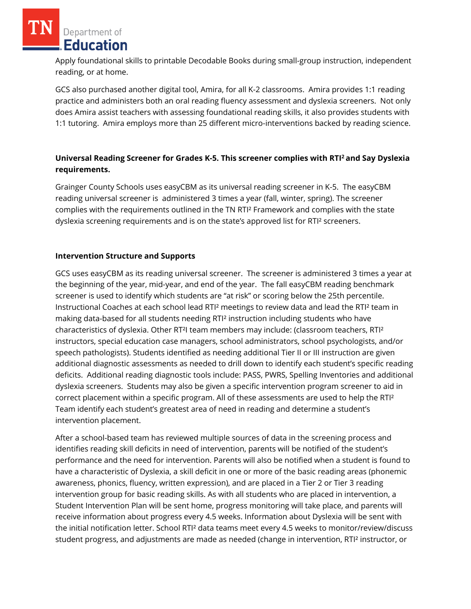Apply foundational skills to printable Decodable Books during small-group instruction, independent reading, or at home.

GCS also purchased another digital tool, Amira, for all K-2 classrooms. Amira provides 1:1 reading practice and administers both an oral reading fluency assessment and dyslexia screeners. Not only does Amira assist teachers with assessing foundational reading skills, it also provides students with 1:1 tutoring. Amira employs more than 25 different micro-interventions backed by reading science.

# **Universal Reading Screener for Grades K-5. This screener complies with RTI<sup>2</sup>and Say Dyslexia requirements.**

Grainger County Schools uses easyCBM as its universal reading screener in K-5. The easyCBM reading universal screener is administered 3 times a year (fall, winter, spring). The screener complies with the requirements outlined in the TN RTI² Framework and complies with the state dyslexia screening requirements and is on the state's approved list for RTI² screeners.

## **Intervention Structure and Supports**

GCS uses easyCBM as its reading universal screener. The screener is administered 3 times a year at the beginning of the year, mid-year, and end of the year. The fall easyCBM reading benchmark screener is used to identify which students are "at risk" or scoring below the 25th percentile. Instructional Coaches at each school lead RTI² meetings to review data and lead the RTI² team in making data-based for all students needing RTI² instruction including students who have characteristics of dyslexia. Other RT²I team members may include: (classroom teachers, RTI² instructors, special education case managers, school administrators, school psychologists, and/or speech pathologists). Students identified as needing additional Tier II or III instruction are given additional diagnostic assessments as needed to drill down to identify each student's specific reading deficits. Additional reading diagnostic tools include: PASS, PWRS, Spelling Inventories and additional dyslexia screeners. Students may also be given a specific intervention program screener to aid in correct placement within a specific program. All of these assessments are used to help the RTI² Team identify each student's greatest area of need in reading and determine a student's intervention placement.

After a school-based team has reviewed multiple sources of data in the screening process and identifies reading skill deficits in need of intervention, parents will be notified of the student's performance and the need for intervention. Parents will also be notified when a student is found to have a characteristic of Dyslexia, a skill deficit in one or more of the basic reading areas (phonemic awareness, phonics, fluency, written expression), and are placed in a Tier 2 or Tier 3 reading intervention group for basic reading skills. As with all students who are placed in intervention, a Student Intervention Plan will be sent home, progress monitoring will take place, and parents will receive information about progress every 4.5 weeks. Information about Dyslexia will be sent with the initial notification letter. School RTI² data teams meet every 4.5 weeks to monitor/review/discuss student progress, and adjustments are made as needed (change in intervention, RTI² instructor, or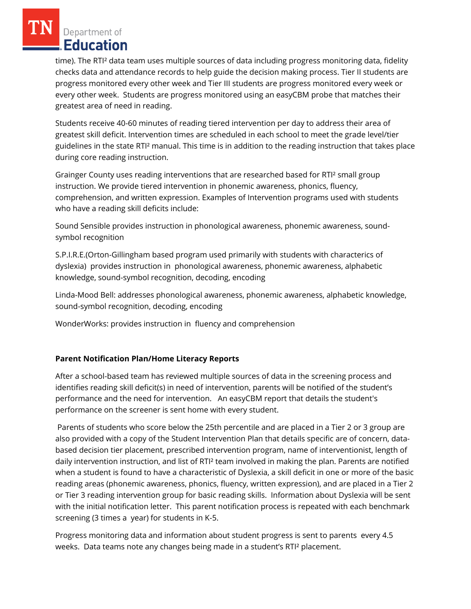time). The RTI² data team uses multiple sources of data including progress monitoring data, fidelity checks data and attendance records to help guide the decision making process. Tier II students are progress monitored every other week and Tier III students are progress monitored every week or every other week. Students are progress monitored using an easyCBM probe that matches their greatest area of need in reading.

Students receive 40-60 minutes of reading tiered intervention per day to address their area of greatest skill deficit. Intervention times are scheduled in each school to meet the grade level/tier guidelines in the state RTI² manual. This time is in addition to the reading instruction that takes place during core reading instruction.

Grainger County uses reading interventions that are researched based for RTI² small group instruction. We provide tiered intervention in phonemic awareness, phonics, fluency, comprehension, and written expression. Examples of Intervention programs used with students who have a reading skill deficits include:

Sound Sensible provides instruction in phonological awareness, phonemic awareness, soundsymbol recognition

S.P.I.R.E.(Orton-Gillingham based program used primarily with students with characterics of dyslexia) provides instruction in phonological awareness, phonemic awareness, alphabetic knowledge, sound-symbol recognition, decoding, encoding

Linda-Mood Bell: addresses phonological awareness, phonemic awareness, alphabetic knowledge, sound-symbol recognition, decoding, encoding

WonderWorks: provides instruction in fluency and comprehension

## **Parent Notification Plan/Home Literacy Reports**

After a school-based team has reviewed multiple sources of data in the screening process and identifies reading skill deficit(s) in need of intervention, parents will be notified of the student's performance and the need for intervention. An easyCBM report that details the student's performance on the screener is sent home with every student.

Parents of students who score below the 25th percentile and are placed in a Tier 2 or 3 group are also provided with a copy of the Student Intervention Plan that details specific are of concern, databased decision tier placement, prescribed intervention program, name of interventionist, length of daily intervention instruction, and list of RTI² team involved in making the plan. Parents are notified when a student is found to have a characteristic of Dyslexia, a skill deficit in one or more of the basic reading areas (phonemic awareness, phonics, fluency, written expression), and are placed in a Tier 2 or Tier 3 reading intervention group for basic reading skills. Information about Dyslexia will be sent with the initial notification letter. This parent notification process is repeated with each benchmark screening (3 times a year) for students in K-5.

Progress monitoring data and information about student progress is sent to parents every 4.5 weeks. Data teams note any changes being made in a student's RTI² placement.